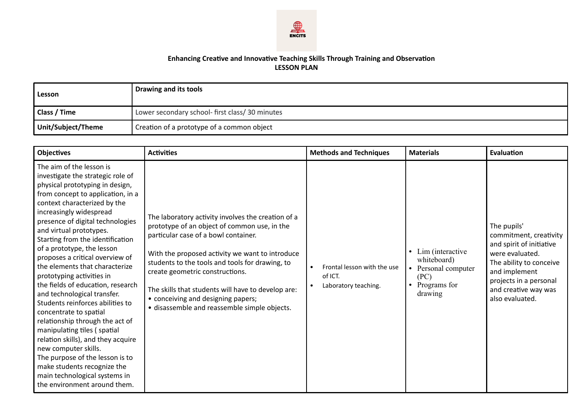

## **Enhancing Creative and Innovative Teaching Skills Through Training and Observation LESSON PLAN**

| l Lesson           | Drawing and its tools                          |
|--------------------|------------------------------------------------|
| Class / Time       | Lower secondary school- first class/30 minutes |
| Unit/Subject/Theme | Creation of a prototype of a common object     |

| <b>Objectives</b>                                                                                                                                                                                                                                                                                                                                                                                                                                                                                                                                                                                                                                                                                                                                                                                                                        | <b>Activities</b>                                                                                                                                                                                                                                                                                                                                                                                                               | <b>Methods and Techniques</b>                                  | <b>Materials</b>                                                                                                  | Evaluation                                                                                                                                                                                            |
|------------------------------------------------------------------------------------------------------------------------------------------------------------------------------------------------------------------------------------------------------------------------------------------------------------------------------------------------------------------------------------------------------------------------------------------------------------------------------------------------------------------------------------------------------------------------------------------------------------------------------------------------------------------------------------------------------------------------------------------------------------------------------------------------------------------------------------------|---------------------------------------------------------------------------------------------------------------------------------------------------------------------------------------------------------------------------------------------------------------------------------------------------------------------------------------------------------------------------------------------------------------------------------|----------------------------------------------------------------|-------------------------------------------------------------------------------------------------------------------|-------------------------------------------------------------------------------------------------------------------------------------------------------------------------------------------------------|
| The aim of the lesson is<br>investigate the strategic role of<br>physical prototyping in design,<br>from concept to application, in a<br>context characterized by the<br>increasingly widespread<br>presence of digital technologies<br>and virtual prototypes.<br>Starting from the identification<br>of a prototype, the lesson<br>proposes a critical overview of<br>the elements that characterize<br>prototyping activities in<br>the fields of education, research<br>and technological transfer.<br>Students reinforces abilities to<br>concentrate to spatial<br>relationship through the act of<br>manipulating tiles (spatial<br>relation skills), and they acquire<br>new computer skills.<br>The purpose of the lesson is to<br>make students recognize the<br>main technological systems in<br>the environment around them. | The laboratory activity involves the creation of a<br>prototype of an object of common use, in the<br>particular case of a bowl container.<br>With the proposed activity we want to introduce<br>students to the tools and tools for drawing, to<br>create geometric constructions.<br>The skills that students will have to develop are:<br>• conceiving and designing papers;<br>· disassemble and reassemble simple objects. | Frontal lesson with the use<br>of ICT.<br>Laboratory teaching. | Lim (interactive<br>$\bullet$<br>whiteboard)<br>Personal computer<br>(PC)<br>Programs for<br>$\bullet$<br>drawing | The pupils'<br>commitment, creativity<br>and spirit of initiative<br>were evaluated.<br>The ability to conceive<br>and implement<br>projects in a personal<br>and creative way was<br>also evaluated. |